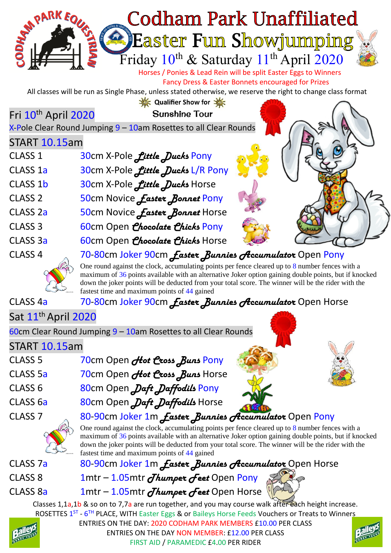

One round against the clock, accumulating points per fence cleared up to 8 number fences with a maximum of 36 points available with an alternative Joker option gaining double points, but if knocked down the joker points will be deducted from your total score. The winner will be the rider with the fastest time and maximum points of 44 gained

## CLASS 4a 70-80cm Joker 90cm *Easter Bunnies Accumulator* Open Horse

## Sat 11<sup>th</sup> April 2020

60cm Clear Round Jumping 9 – 10am Rosettes to all Clear Rounds

## START 10.15am

- CLASS 5 70cm Open *Hot Cross Buns* Pony CLASS 5a 70cm Open *Hot Cross Buns* Horse CLASS 6 80cm Open *Daft Daffodils* Pony
- 



CLASS 6a 80cm Open *Daft Daffodils* Horse





# CLASS 7 80-90cm Joker 1m *Easter Bunnies Accumulator* Open Pony

One round against the clock, accumulating points per fence cleared up to 8 number fences with a maximum of 36 points available with an alternative Joker option gaining double points, but if knocked down the joker points will be deducted from your total score. The winner will be the rider with the fastest time and maximum points of 44 gained

CLASS 7a 80-90cm Joker 1m *Easter Bunnies Accumulator* Open Horse

- CLASS 8 1mtr 1.05mtr *Thumper Feet* Open Pony
- CLASS 8a 1mtr 1.05mtr *Thumper Feet* Open Horse

Classes 1,1a,1b & so on to 7,7a are run together, and you may course walk after each height increase. ROSETTES 1<sup>ST</sup> - 6<sup>TH</sup> PLACE, WITH Easter Eggs & or Baileys Horse Feeds Vouchers or Treats to Winners



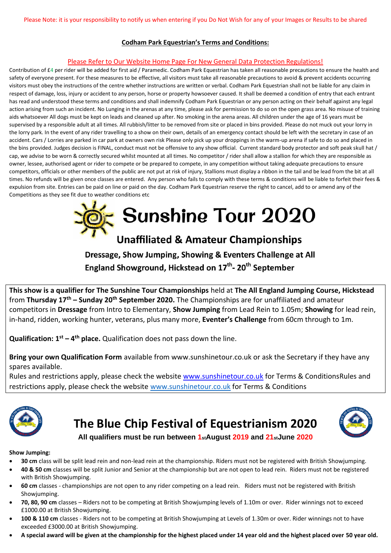#### **Codham Park Equestrian's Terms and Conditions:**

#### Please Refer to Our Website Home Page For New General Data Protection Regulations!

Contribution of £4 per rider will be added for first aid / Paramedic. Codham Park Equestrian has taken all reasonable precautions to ensure the health and safety of everyone present. For these measures to be effective, all visitors must take all reasonable precautions to avoid & prevent accidents occurring visitors must obey the instructions of the centre whether instructions are written or verbal. Codham Park Equestrian shall not be liable for any claim in respect of damage, loss, injury or accident to any person, horse or property howsoever caused. It shall be deemed a condition of entry that each entrant has read and understood these terms and conditions and shall indemnify Codham Park Equestrian or any person acting on their behalf against any legal action arising from such an incident. No Lunging in the arenas at any time, please ask for permission to do so on the open grass area. No misuse of training aids whatsoever All dogs must be kept on leads and cleaned up after. No smoking in the arena areas. All children under the age of 16 years must be supervised by a responsible adult at all times. All rubbish/litter to be removed from site or placed in bins provided. Please do not muck out your lorry in the lorry park. In the event of any rider travelling to a show on their own, details of an emergency contact should be left with the secretary in case of an accident. Cars / Lorries are parked in car park at owners own risk Please only pick up your droppings in the warm-up arena if safe to do so and placed in the bins provided. Judges decision is FINAL, conduct must not be offensive to any show official. Current standard body protector and soft peak skull hat / cap, we advise to be worn & correctly secured whilst mounted at all times. No competitor / rider shall allow a stallion for which they are responsible as owner, lessee, authorised agent or rider to compete or be prepared to compete, in any competition without taking adequate precautions to ensure competitors, officials or other members of the public are not put at risk of injury, Stallions must display a ribbon in the tail and be lead from the bit at all times. No refunds will be given once classes are entered. Any person who fails to comply with these terms & conditions will be liable to forfeit their fees & expulsion from site. Entries can be paid on line or paid on the day. Codham Park Equestrian reserve the right to cancel, add to or amend any of the Competitions as they see fit due to weather conditions etc



# Dressage, Show Jumping, Showing & Eventers Challenge at All

England Showground, Hickstead on 17<sup>th</sup>-20<sup>th</sup> September

**This show is a qualifier for The Sunshine Tour Championships** held at **The All England Jumping Course, Hickstead** from **Thursday 17th – Sunday 20th September 2020.** The Championships are for unaffiliated and amateur competitors in **Dressage** from Intro to Elementary, **Show Jumping** from Lead Rein to 1.05m; **Showing** for lead rein, in-hand, ridden, working hunter, veterans, plus many more, **Eventer's Challenge** from 60cm through to 1m.

**Qualification: 1st – 4 th place.** Qualification does not pass down the line.

**Bring your own Qualification Form** available from www.sunshinetour.co.uk or ask the Secretary if they have any spares available.

Rules and restrictions apply, please check the website [www.sunshinetour.co.uk](http://www.sunshinetour.co.uk/) for Terms & ConditionsRules and restrictions apply, please check the website [www.sunshinetour.co.uk](http://www.sunshinetour.co.uk/) for Terms & Conditions



## **The Blue Chip Festival of Equestrianism 2020**



**All qualifiers must be run between 1stAugust 2019 and 21stJune 2020**

#### **Show Jumping:**

- **30 cm** class will be split lead rein and non-lead rein at the championship. Riders must not be registered with British Showjumping.
- **40 & 50 cm** classes will be split Junior and Senior at the championship but are not open to lead rein. Riders must not be registered with British Showjumping.
- **60 cm** classes championships are not open to any rider competing on a lead rein. Riders must not be registered with British Showiumping.
- **70, 80, 90 cm** classes Riders not to be competing at British Showjumping levels of 1.10m or over. Rider winnings not to exceed £1000.00 at British Showjumping.
- **100 & 110 cm** classes Riders not to be competing at British Showjumping at Levels of 1.30m or over. Rider winnings not to have exceeded £3000.00 at British Showjumping.
- **A special award will be given at the championship for the highest placed under 14 year old and the highest placed over 50 year old.**